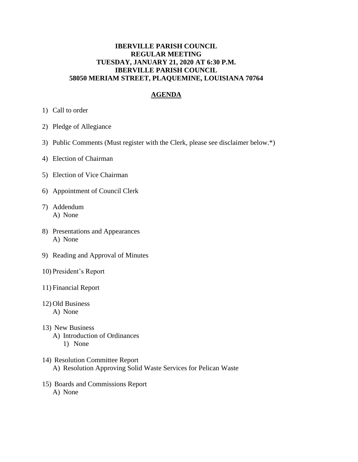## **IBERVILLE PARISH COUNCIL REGULAR MEETING TUESDAY, JANUARY 21, 2020 AT 6:30 P.M. IBERVILLE PARISH COUNCIL 58050 MERIAM STREET, PLAQUEMINE, LOUISIANA 70764**

## **AGENDA**

- 1) Call to order
- 2) Pledge of Allegiance
- 3) Public Comments (Must register with the Clerk, please see disclaimer below.\*)
- 4) Election of Chairman
- 5) Election of Vice Chairman
- 6) Appointment of Council Clerk
- 7) Addendum A) None
- 8) Presentations and Appearances A) None
- 9) Reading and Approval of Minutes
- 10) President's Report
- 11) Financial Report
- 12) Old Business A) None
- 13) New Business A) Introduction of Ordinances 1) None
- 14) Resolution Committee Report A) Resolution Approving Solid Waste Services for Pelican Waste
- 15) Boards and Commissions Report A) None